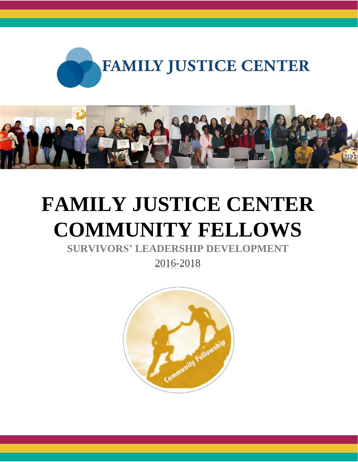



# **FAMILY JUSTICE CENTER COMMUNITY FELLOWS**

**SURVIVORS' LEADERSHIP DEVELOPMENT**

2016-2018

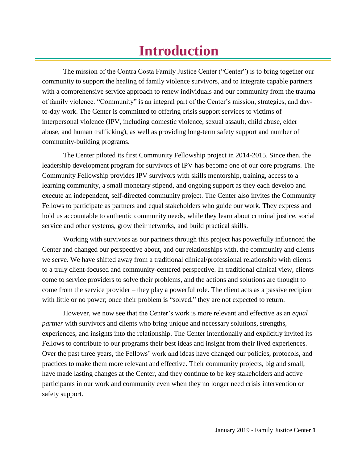# **Introduction**

The mission of the Contra Costa Family Justice Center ("Center") is to bring together our community to support the healing of family violence survivors, and to integrate capable partners with a comprehensive service approach to renew individuals and our community from the trauma of family violence. "Community" is an integral part of the Center's mission, strategies, and dayto-day work. The Center is committed to offering crisis support services to victims of interpersonal violence (IPV, including domestic violence, sexual assault, child abuse, elder abuse, and human trafficking), as well as providing long-term safety support and number of community-building programs.

The Center piloted its first Community Fellowship project in 2014-2015. Since then, the leadership development program for survivors of IPV has become one of our core programs. The Community Fellowship provides IPV survivors with skills mentorship, training, access to a learning community, a small monetary stipend, and ongoing support as they each develop and execute an independent, self-directed community project. The Center also invites the Community Fellows to participate as partners and equal stakeholders who guide our work. They express and hold us accountable to authentic community needs, while they learn about criminal justice, social service and other systems, grow their networks, and build practical skills.

Working with survivors as our partners through this project has powerfully influenced the Center and changed our perspective about, and our relationships with, the community and clients we serve. We have shifted away from a traditional clinical/professional relationship with clients to a truly client-focused and community-centered perspective. In traditional clinical view, clients come to service providers to solve their problems, and the actions and solutions are thought to come from the service provider – they play a powerful role. The client acts as a passive recipient with little or no power; once their problem is "solved," they are not expected to return.

However, we now see that the Center's work is more relevant and effective as an *equal partner* with survivors and clients who bring unique and necessary solutions, strengths, experiences, and insights into the relationship. The Center intentionally and explicitly invited its Fellows to contribute to our programs their best ideas and insight from their lived experiences. Over the past three years, the Fellows' work and ideas have changed our policies, protocols, and practices to make them more relevant and effective. Their community projects, big and small, have made lasting changes at the Center, and they continue to be key stakeholders and active participants in our work and community even when they no longer need crisis intervention or safety support.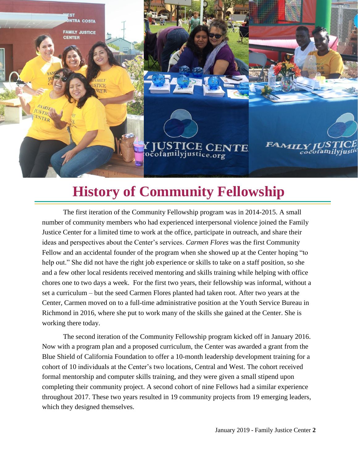

# **History of Community Fellowship**

The first iteration of the Community Fellowship program was in 2014-2015. A small number of community members who had experienced interpersonal violence joined the Family Justice Center for a limited time to work at the office, participate in outreach, and share their ideas and perspectives about the Center's services. *Carmen Flores* was the first Community Fellow and an accidental founder of the program when she showed up at the Center hoping "to help out." She did not have the right job experience or skills to take on a staff position, so she and a few other local residents received mentoring and skills training while helping with office chores one to two days a week. For the first two years, their fellowship was informal, without a set a curriculum – but the seed Carmen Flores planted had taken root. After two years at the Center, Carmen moved on to a full-time administrative position at the Youth Service Bureau in Richmond in 2016, where she put to work many of the skills she gained at the Center. She is working there today.

The second iteration of the Community Fellowship program kicked off in January 2016. Now with a program plan and a proposed curriculum, the Center was awarded a grant from the Blue Shield of California Foundation to offer a 10-month leadership development training for a cohort of 10 individuals at the Center's two locations, Central and West. The cohort received formal mentorship and computer skills training, and they were given a small stipend upon completing their community project. A second cohort of nine Fellows had a similar experience throughout 2017. These two years resulted in 19 community projects from 19 emerging leaders, which they designed themselves.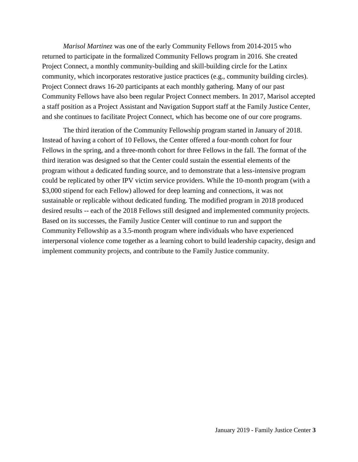*Marisol Martinez* was one of the early Community Fellows from 2014-2015 who returned to participate in the formalized Community Fellows program in 2016. She created Project Connect, a monthly community-building and skill-building circle for the Latinx community, which incorporates restorative justice practices (e.g., community building circles). Project Connect draws 16-20 participants at each monthly gathering. Many of our past Community Fellows have also been regular Project Connect members. In 2017, Marisol accepted a staff position as a Project Assistant and Navigation Support staff at the Family Justice Center, and she continues to facilitate Project Connect, which has become one of our core programs.

The third iteration of the Community Fellowship program started in January of 2018. Instead of having a cohort of 10 Fellows, the Center offered a four-month cohort for four Fellows in the spring, and a three-month cohort for three Fellows in the fall. The format of the third iteration was designed so that the Center could sustain the essential elements of the program without a dedicated funding source, and to demonstrate that a less-intensive program could be replicated by other IPV victim service providers. While the 10-month program (with a \$3,000 stipend for each Fellow) allowed for deep learning and connections, it was not sustainable or replicable without dedicated funding. The modified program in 2018 produced desired results -- each of the 2018 Fellows still designed and implemented community projects. Based on its successes, the Family Justice Center will continue to run and support the Community Fellowship as a 3.5-month program where individuals who have experienced interpersonal violence come together as a learning cohort to build leadership capacity, design and implement community projects, and contribute to the Family Justice community.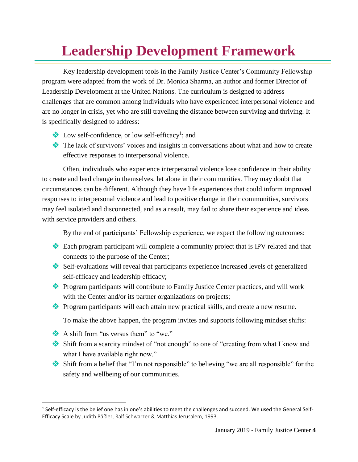# **Leadership Development Framework**

Key leadership development tools in the Family Justice Center's Community Fellowship program were adapted from the work of Dr. Monica Sharma, an author and former Director of Leadership Development at the United Nations. The curriculum is designed to address challenges that are common among individuals who have experienced interpersonal violence and are no longer in crisis, yet who are still traveling the distance between surviving and thriving. It is specifically designed to address:

- Low self-confidence, or low self-efficacy<sup>1</sup>; and
- The lack of survivors' voices and insights in conversations about what and how to create effective responses to interpersonal violence.

Often, individuals who experience interpersonal violence lose confidence in their ability to create and lead change in themselves, let alone in their communities. They may doubt that circumstances can be different. Although they have life experiences that could inform improved responses to interpersonal violence and lead to positive change in their communities, survivors may feel isolated and disconnected, and as a result, may fail to share their experience and ideas with service providers and others.

By the end of participants' Fellowship experience, we expect the following outcomes:

- Each program participant will complete a community project that is IPV related and that connects to the purpose of the Center;
- Self-evaluations will reveal that participants experience increased levels of generalized self-efficacy and leadership efficacy;
- Program participants will contribute to Family Justice Center practices, and will work with the Center and/or its partner organizations on projects;
- Program participants will each attain new practical skills, and create a new resume.

To make the above happen, the program invites and supports following mindset shifts:

A shift from "us versus them" to "we."

 $\overline{\phantom{a}}$ 

- Shift from a scarcity mindset of "not enough" to one of "creating from what I know and what I have available right now."
- Shift from a belief that "I'm not responsible" to believing "we are all responsible" for the safety and wellbeing of our communities.

 $^1$  Self-efficacy is the belief one has in one's abilities to meet the challenges and succeed. We used the General Self-Efficacy Scale by Judith Bäßler, Ralf Schwarzer & Matthias Jerusalem, 1993.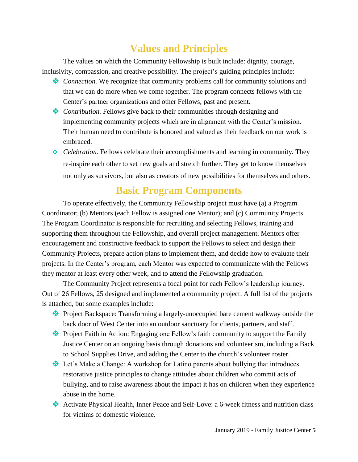### **Values and Principles**

The values on which the Community Fellowship is built include: dignity, courage, inclusivity, compassion, and creative possibility. The project's guiding principles include:

- *Connection.* We recognize that community problems call for community solutions and that we can do more when we come together. The program connects fellows with the Center's partner organizations and other Fellows, past and present.
- *Contribution.* Fellows give back to their communities through designing and implementing community projects which are in alignment with the Center's mission. Their human need to contribute is honored and valued as their feedback on our work is embraced.
- ◆ *Celebration*. Fellows celebrate their accomplishments and learning in community. They re-inspire each other to set new goals and stretch further. They get to know themselves not only as survivors, but also as creators of new possibilities for themselves and others.

### **Basic Program Components**

To operate effectively, the Community Fellowship project must have (a) a Program Coordinator; (b) Mentors (each Fellow is assigned one Mentor); and (c) Community Projects. The Program Coordinator is responsible for recruiting and selecting Fellows, training and supporting them throughout the Fellowship, and overall project management. Mentors offer encouragement and constructive feedback to support the Fellows to select and design their Community Projects, prepare action plans to implement them, and decide how to evaluate their projects. In the Center's program, each Mentor was expected to communicate with the Fellows they mentor at least every other week, and to attend the Fellowship graduation.

The Community Project represents a focal point for each Fellow's leadership journey. Out of 26 Fellows, 25 designed and implemented a community project. A full list of the projects is attached, but some examples include:

- Project Backspace: Transforming a largely-unoccupied bare cement walkway outside the back door of West Center into an outdoor sanctuary for clients, partners, and staff.
- Project Faith in Action: Engaging one Fellow's faith community to support the Family Justice Center on an ongoing basis through donations and volunteerism, including a Back to School Supplies Drive, and adding the Center to the church's volunteer roster.
- Let's Make a Change: A workshop for Latino parents about bullying that introduces restorative justice principles to change attitudes about children who commit acts of bullying, and to raise awareness about the impact it has on children when they experience abuse in the home.
- Activate Physical Health, Inner Peace and Self-Love: a 6-week fitness and nutrition class for victims of domestic violence.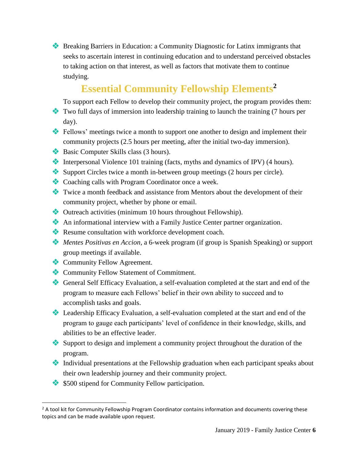Breaking Barriers in Education: a Community Diagnostic for Latinx immigrants that seeks to ascertain interest in continuing education and to understand perceived obstacles to taking action on that interest, as well as factors that motivate them to continue studying.

### **Essential Community Fellowship Elements<sup>2</sup>**

To support each Fellow to develop their community project, the program provides them:

- Two full days of immersion into leadership training to launch the training (7 hours per day).
- Fellows' meetings twice a month to support one another to design and implement their community projects (2.5 hours per meeting, after the initial two-day immersion).
- Basic Computer Skills class (3 hours).
- Interpersonal Violence 101 training (facts, myths and dynamics of IPV) (4 hours).
- Support Circles twice a month in-between group meetings (2 hours per circle).
- Coaching calls with Program Coordinator once a week.
- Twice a month feedback and assistance from Mentors about the development of their community project, whether by phone or email.
- Outreach activities (minimum 10 hours throughout Fellowship).
- An informational interview with a Family Justice Center partner organization.
- Resume consultation with workforce development coach.
- *Mentes Positivas en Accion,* a 6-week program (if group is Spanish Speaking) or support group meetings if available.
- **Community Fellow Agreement.**

 $\overline{\phantom{a}}$ 

- Community Fellow Statement of Commitment.
- General Self Efficacy Evaluation, a self-evaluation completed at the start and end of the program to measure each Fellows' belief in their own ability to succeed and to accomplish tasks and goals.
- Leadership Efficacy Evaluation, a self-evaluation completed at the start and end of the program to gauge each participants' level of confidence in their knowledge, skills, and abilities to be an effective leader.
- Support to design and implement a community project throughout the duration of the program.
- Individual presentations at the Fellowship graduation when each participant speaks about their own leadership journey and their community project.
- $\bullet$  \$500 stipend for Community Fellow participation.

 $<sup>2</sup>$  A tool kit for Community Fellowship Program Coordinator contains information and documents covering these</sup> topics and can be made available upon request.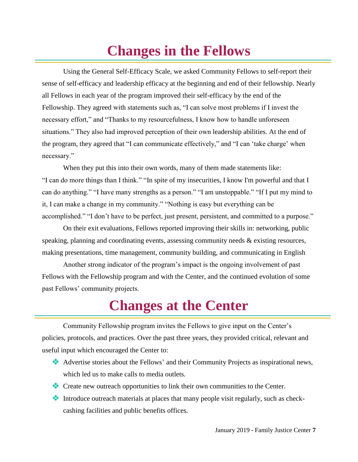# **Changes in the Fellows**

Using the General Self-Efficacy Scale, we asked Community Fellows to self-report their sense of self-efficacy and leadership efficacy at the beginning and end of their fellowship. Nearly all Fellows in each year of the program improved their self-efficacy by the end of the Fellowship. They agreed with statements such as, "I can solve most problems if I invest the necessary effort," and "Thanks to my resourcefulness, I know how to handle unforeseen situations." They also had improved perception of their own leadership abilities. At the end of the program, they agreed that "I can communicate effectively," and "I can 'take charge' when necessary."

When they put this into their own words, many of them made statements like: "I can do more things than I think." "In spite of my insecurities, I know I'm powerful and that I can do anything." "I have many strengths as a person." "I am unstoppable." "If I put my mind to it, I can make a change in my community." "Nothing is easy but everything can be accomplished." "I don't have to be perfect, just present, persistent, and committed to a purpose."

On their exit evaluations, Fellows reported improving their skills in: networking, public speaking, planning and coordinating events, assessing community needs & existing resources, making presentations, time management, community building, and communicating in English

Another strong indicator of the program's impact is the ongoing involvement of past Fellows with the Fellowship program and with the Center, and the continued evolution of some past Fellows' community projects.

## **Changes at the Center**

Community Fellowship program invites the Fellows to give input on the Center's policies, protocols, and practices. Over the past three years, they provided critical, relevant and useful input which encouraged the Center to:

- Advertise stories about the Fellows' and their Community Projects as inspirational news, which led us to make calls to media outlets.
- Create new outreach opportunities to link their own communities to the Center.
- Introduce outreach materials at places that many people visit regularly, such as checkcashing facilities and public benefits offices.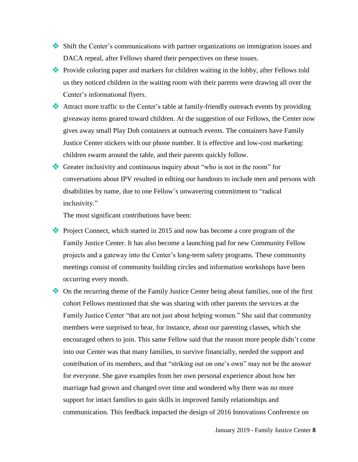- Shift the Center's communications with partner organizations on immigration issues and DACA repeal, after Fellows shared their perspectives on these issues.
- Provide coloring paper and markers for children waiting in the lobby, after Fellows told us they noticed children in the waiting room with their parents were drawing all over the Center's informational flyers.
- Attract more traffic to the Center's table at family-friendly outreach events by providing giveaway items geared toward children. At the suggestion of our Fellows, the Center now gives away small Play Doh containers at outreach events. The containers have Family Justice Center stickers with our phone number. It is effective and low-cost marketing: children swarm around the table, and their parents quickly follow.
- Greater inclusivity and continuous inquiry about "who is not in the room" for conversations about IPV resulted in editing our handouts to include men and persons with disabilities by name, due to one Fellow's unwavering commitment to "radical inclusivity."

The most significant contributions have been:

- Project Connect, which started in 2015 and now has become a core program of the Family Justice Center. It has also become a launching pad for new Community Fellow projects and a gateway into the Center's long-term safety programs. These community meetings consist of community building circles and information workshops have been occurring every month.
- On the recurring theme of the Family Justice Center being about families, one of the first cohort Fellows mentioned that she was sharing with other parents the services at the Family Justice Center "that are not just about helping women." She said that community members were surprised to hear, for instance, about our parenting classes, which she encouraged others to join. This same Fellow said that the reason more people didn't come into our Center was that many families, to survive financially, needed the support and contribution of its members, and that "striking out on one's own" may not be the answer for everyone. She gave examples from her own personal experience about how her marriage had grown and changed over time and wondered why there was no more support for intact families to gain skills in improved family relationships and communication. This feedback impacted the design of 2016 Innovations Conference on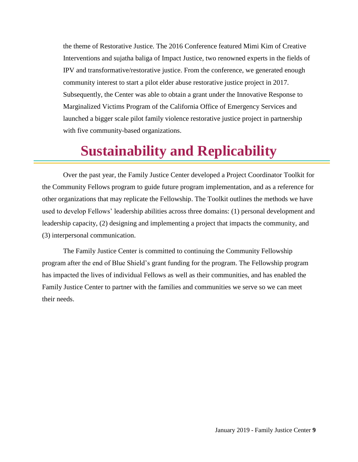the theme of Restorative Justice. The 2016 Conference featured Mimi Kim of Creative Interventions and sujatha baliga of Impact Justice, two renowned experts in the fields of IPV and transformative/restorative justice. From the conference, we generated enough community interest to start a pilot elder abuse restorative justice project in 2017. Subsequently, the Center was able to obtain a grant under the Innovative Response to Marginalized Victims Program of the California Office of Emergency Services and launched a bigger scale pilot family violence restorative justice project in partnership with five community-based organizations.

### **Sustainability and Replicability**

Over the past year, the Family Justice Center developed a Project Coordinator Toolkit for the Community Fellows program to guide future program implementation, and as a reference for other organizations that may replicate the Fellowship. The Toolkit outlines the methods we have used to develop Fellows' leadership abilities across three domains: (1) personal development and leadership capacity, (2) designing and implementing a project that impacts the community, and (3) interpersonal communication.

The Family Justice Center is committed to continuing the Community Fellowship program after the end of Blue Shield's grant funding for the program. The Fellowship program has impacted the lives of individual Fellows as well as their communities, and has enabled the Family Justice Center to partner with the families and communities we serve so we can meet their needs.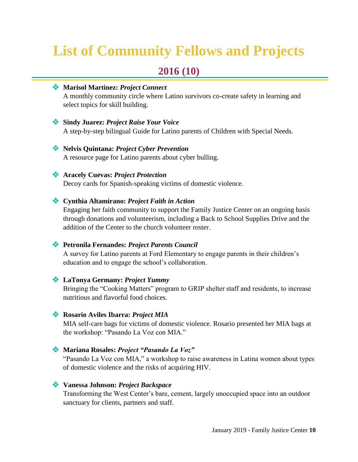# **List of Community Fellows and Projects**

### **2016 (10)**

#### **Marisol Martinez:** *Project Connect*

A monthly community circle where Latino survivors co-create safety in learning and select topics for skill building.

#### **Sindy Juarez:** *Project Raise Your Voice*

A step-by-step bilingual Guide for Latino parents of Children with Special Needs.

#### **Nelvis Quintana:** *Project Cyber Prevention*

A resource page for Latino parents about cyber bulling.

#### **Aracely Cuevas:** *Project Protection*

Decoy cards for Spanish-speaking victims of domestic violence.

#### **Cynthia Altamirano:** *Project Faith in Action*

Engaging her faith community to support the Family Justice Center on an ongoing basis through donations and volunteerism, including a Back to School Supplies Drive and the addition of the Center to the church volunteer roster.

#### **Petronila Fernandes:** *Project Parents Council*

A survey for Latino parents at Ford Elementary to engage parents in their children's education and to engage the school's collaboration.

#### **LaTonya Germany:** *Project Yummy*

Bringing the "Cooking Matters" program to GRIP shelter staff and residents, to increase nutritious and flavorful food choices.

#### **Rosario Aviles Ibarra:** *Project MIA*

MIA self-care bags for victims of domestic violence. Rosario presented her MIA bags at the workshop: "Pasando La Voz con MIA."

#### **Mariana Rosales:** *Project "Pasando La Voz"*

"Pasando La Voz con MIA," a workshop to raise awareness in Latina women about types of domestic violence and the risks of acquiring HIV.

#### **Vanessa Johnson:** *Project Backspace*

Transforming the West Center's bare, cement, largely unoccupied space into an outdoor sanctuary for clients, partners and staff.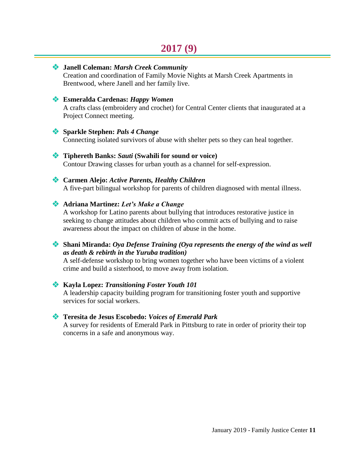